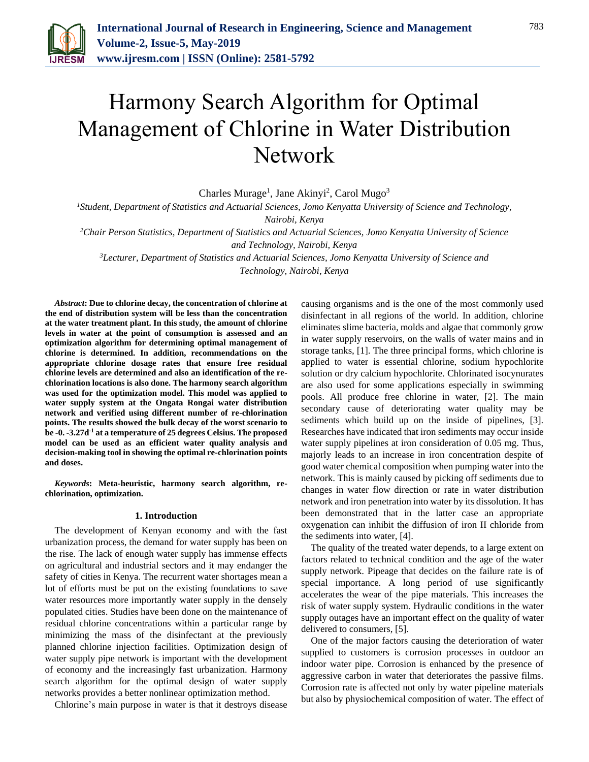

# Harmony Search Algorithm for Optimal Management of Chlorine in Water Distribution Network

Charles Murage<sup>1</sup>, Jane Akinyi<sup>2</sup>, Carol Mugo<sup>3</sup>

*<sup>1</sup>Student, Department of Statistics and Actuarial Sciences, Jomo Kenyatta University of Science and Technology,* 

*Nairobi, Kenya*

*<sup>2</sup>Chair Person Statistics, Department of Statistics and Actuarial Sciences, Jomo Kenyatta University of Science and Technology, Nairobi, Kenya*

*<sup>3</sup>Lecturer, Department of Statistics and Actuarial Sciences, Jomo Kenyatta University of Science and Technology, Nairobi, Kenya*

*Abstract***: Due to chlorine decay, the concentration of chlorine at the end of distribution system will be less than the concentration at the water treatment plant. In this study, the amount of chlorine levels in water at the point of consumption is assessed and an optimization algorithm for determining optimal management of chlorine is determined. In addition, recommendations on the appropriate chlorine dosage rates that ensure free residual chlorine levels are determined and also an identification of the rechlorination locations is also done. The harmony search algorithm was used for the optimization model. This model was applied to water supply system at the Ongata Rongai water distribution network and verified using different number of re-chlorination points. The results showed the bulk decay of the worst scenario to be -0. -3.27d-1 at a temperature of 25 degrees Celsius. The proposed model can be used as an efficient water quality analysis and decision-making tool in showing the optimal re-chlorination points and doses.** 

*Keywords***: Meta-heuristic, harmony search algorithm, rechlorination, optimization.**

### **1. Introduction**

The development of Kenyan economy and with the fast urbanization process, the demand for water supply has been on the rise. The lack of enough water supply has immense effects on agricultural and industrial sectors and it may endanger the safety of cities in Kenya. The recurrent water shortages mean a lot of efforts must be put on the existing foundations to save water resources more importantly water supply in the densely populated cities. Studies have been done on the maintenance of residual chlorine concentrations within a particular range by minimizing the mass of the disinfectant at the previously planned chlorine injection facilities. Optimization design of water supply pipe network is important with the development of economy and the increasingly fast urbanization. Harmony search algorithm for the optimal design of water supply networks provides a better nonlinear optimization method.

Chlorine's main purpose in water is that it destroys disease

causing organisms and is the one of the most commonly used disinfectant in all regions of the world. In addition, chlorine eliminates slime bacteria, molds and algae that commonly grow in water supply reservoirs, on the walls of water mains and in storage tanks, [1]. The three principal forms, which chlorine is applied to water is essential chlorine, sodium hypochlorite solution or dry calcium hypochlorite. Chlorinated isocynurates are also used for some applications especially in swimming pools. All produce free chlorine in water, [2]. The main secondary cause of deteriorating water quality may be sediments which build up on the inside of pipelines, [3]. Researches have indicated that iron sediments may occur inside water supply pipelines at iron consideration of 0.05 mg. Thus, majorly leads to an increase in iron concentration despite of good water chemical composition when pumping water into the network. This is mainly caused by picking off sediments due to changes in water flow direction or rate in water distribution network and iron penetration into water by its dissolution. It has been demonstrated that in the latter case an appropriate oxygenation can inhibit the diffusion of iron II chloride from the sediments into water, [4].

The quality of the treated water depends, to a large extent on factors related to technical condition and the age of the water supply network. Pipeage that decides on the failure rate is of special importance. A long period of use significantly accelerates the wear of the pipe materials. This increases the risk of water supply system. Hydraulic conditions in the water supply outages have an important effect on the quality of water delivered to consumers, [5].

One of the major factors causing the deterioration of water supplied to customers is corrosion processes in outdoor an indoor water pipe. Corrosion is enhanced by the presence of aggressive carbon in water that deteriorates the passive films. Corrosion rate is affected not only by water pipeline materials but also by physiochemical composition of water. The effect of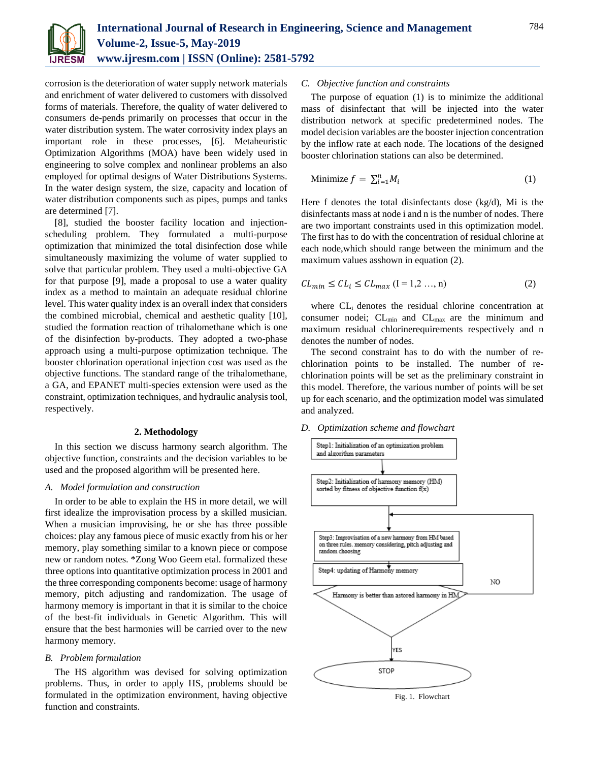

corrosion is the deterioration of water supply network materials and enrichment of water delivered to customers with dissolved forms of materials. Therefore, the quality of water delivered to consumers de-pends primarily on processes that occur in the water distribution system. The water corrosivity index plays an important role in these processes, [6]. Metaheuristic Optimization Algorithms (MOA) have been widely used in engineering to solve complex and nonlinear problems an also employed for optimal designs of Water Distributions Systems. In the water design system, the size, capacity and location of water distribution components such as pipes, pumps and tanks are determined [7].

[8], studied the booster facility location and injectionscheduling problem. They formulated a multi-purpose optimization that minimized the total disinfection dose while simultaneously maximizing the volume of water supplied to solve that particular problem. They used a multi-objective GA for that purpose [9], made a proposal to use a water quality index as a method to maintain an adequate residual chlorine level. This water quality index is an overall index that considers the combined microbial, chemical and aesthetic quality [10], studied the formation reaction of trihalomethane which is one of the disinfection by-products. They adopted a two-phase approach using a multi-purpose optimization technique. The booster chlorination operational injection cost was used as the objective functions. The standard range of the trihalomethane, a GA, and EPANET multi-species extension were used as the constraint, optimization techniques, and hydraulic analysis tool, respectively.

### **2. Methodology**

In this section we discuss harmony search algorithm. The objective function, constraints and the decision variables to be used and the proposed algorithm will be presented here.

# *A. Model formulation and construction*

In order to be able to explain the HS in more detail, we will first idealize the improvisation process by a skilled musician. When a musician improvising, he or she has three possible choices: play any famous piece of music exactly from his or her memory, play something similar to a known piece or compose new or random notes. \*Zong Woo Geem etal. formalized these three options into quantitative optimization process in 2001 and the three corresponding components become: usage of harmony memory, pitch adjusting and randomization. The usage of harmony memory is important in that it is similar to the choice of the best-fit individuals in Genetic Algorithm. This will ensure that the best harmonies will be carried over to the new harmony memory.

### *B. Problem formulation*

The HS algorithm was devised for solving optimization problems. Thus, in order to apply HS, problems should be formulated in the optimization environment, having objective function and constraints.

# *C. Objective function and constraints*

The purpose of equation (1) is to minimize the additional mass of disinfectant that will be injected into the water distribution network at specific predetermined nodes. The model decision variables are the booster injection concentration by the inflow rate at each node. The locations of the designed booster chlorination stations can also be determined.

$$
\text{Minimize } f = \sum_{i=1}^{n} M_i \tag{1}
$$

Here f denotes the total disinfectants dose (kg/d), Mi is the disinfectants mass at node i and n is the number of nodes. There are two important constraints used in this optimization model. The first has to do with the concentration of residual chlorine at each node,which should range between the minimum and the maximum values asshown in equation (2).

$$
CL_{min} \le CL_i \le CL_{max} \ (I = 1, 2, ..., n) \tag{2}
$$

where CLi denotes the residual chlorine concentration at consumer nodei;  $CL_{min}$  and  $CL_{max}$  are the minimum and maximum residual chlorinerequirements respectively and n denotes the number of nodes.

The second constraint has to do with the number of rechlorination points to be installed. The number of rechlorination points will be set as the preliminary constraint in this model. Therefore, the various number of points will be set up for each scenario, and the optimization model was simulated and analyzed.

### *D. Optimization scheme and flowchart*

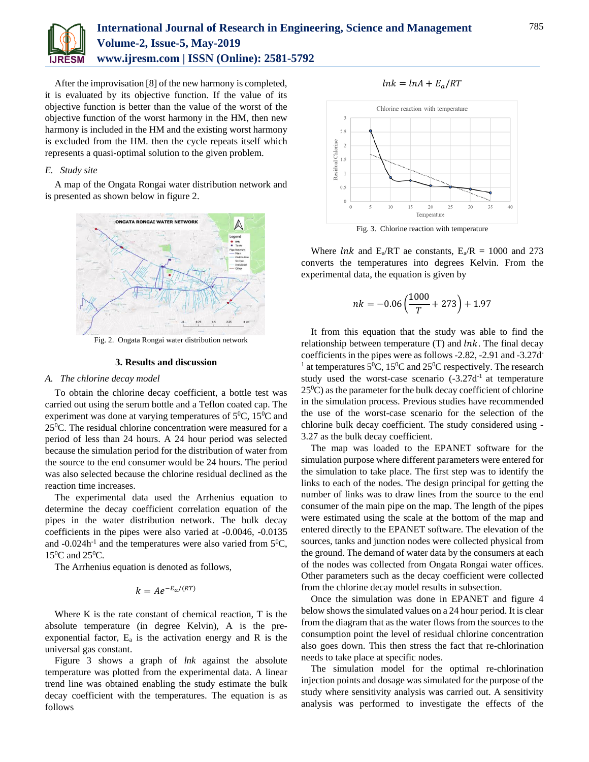

# **International Journal of Research in Engineering, Science and Management Volume-2, Issue-5, May-2019 www.ijresm.com | ISSN (Online): 2581-5792**

After the improvisation [8] of the new harmony is completed, it is evaluated by its objective function. If the value of its objective function is better than the value of the worst of the objective function of the worst harmony in the HM, then new harmony is included in the HM and the existing worst harmony is excluded from the HM. then the cycle repeats itself which represents a quasi-optimal solution to the given problem.

# *E. Study site*

A map of the Ongata Rongai water distribution network and is presented as shown below in figure 2.



Fig. 2. Ongata Rongai water distribution network

#### **3. Results and discussion**

### *A. The chlorine decay model*

To obtain the chlorine decay coefficient, a bottle test was carried out using the serum bottle and a Teflon coated cap. The experiment was done at varying temperatures of  $5^0C$ ,  $15^0C$  and 25<sup>0</sup>C. The residual chlorine concentration were measured for a period of less than 24 hours. A 24 hour period was selected because the simulation period for the distribution of water from the source to the end consumer would be 24 hours. The period was also selected because the chlorine residual declined as the reaction time increases.

The experimental data used the Arrhenius equation to determine the decay coefficient correlation equation of the pipes in the water distribution network. The bulk decay coefficients in the pipes were also varied at -0.0046, -0.0135 and  $-0.024$ h<sup>-1</sup> and the temperatures were also varied from  $5^0C$ ,  $15^0C$  and  $25^0C$ .

The Arrhenius equation is denoted as follows,

$$
k = Ae^{-E_a/(RT)}
$$

Where K is the rate constant of chemical reaction, T is the absolute temperature (in degree Kelvin), A is the preexponential factor,  $E_a$  is the activation energy and R is the universal gas constant.

Figure 3 shows a graph of *lnk* against the absolute temperature was plotted from the experimental data. A linear trend line was obtained enabling the study estimate the bulk decay coefficient with the temperatures. The equation is as follows





Fig. 3. Chlorine reaction with temperature

Where *lnk* and  $E_a/RT$  ae constants,  $E_a/R = 1000$  and 273 converts the temperatures into degrees Kelvin. From the experimental data, the equation is given by

$$
nk = -0.06\left(\frac{1000}{T} + 273\right) + 1.97
$$

It from this equation that the study was able to find the relationship between temperature  $(T)$  and  $lnk$ . The final decay coefficients in the pipes were as follows -2.82, -2.91 and -3.27d - <sup>1</sup> at temperatures 5<sup>0</sup>C, 15<sup>0</sup>C and 25<sup>0</sup>C respectively. The research study used the worst-case scenario  $(-3.27d<sup>-1</sup>]$  at temperature  $25\text{°C}$ ) as the parameter for the bulk decay coefficient of chlorine in the simulation process. Previous studies have recommended the use of the worst-case scenario for the selection of the chlorine bulk decay coefficient. The study considered using - 3.27 as the bulk decay coefficient.

The map was loaded to the EPANET software for the simulation purpose where different parameters were entered for the simulation to take place. The first step was to identify the links to each of the nodes. The design principal for getting the number of links was to draw lines from the source to the end consumer of the main pipe on the map. The length of the pipes were estimated using the scale at the bottom of the map and entered directly to the EPANET software. The elevation of the sources, tanks and junction nodes were collected physical from the ground. The demand of water data by the consumers at each of the nodes was collected from Ongata Rongai water offices. Other parameters such as the decay coefficient were collected from the chlorine decay model results in subsection.

Once the simulation was done in EPANET and figure 4 below shows the simulated values on a 24 hour period. It is clear from the diagram that as the water flows from the sources to the consumption point the level of residual chlorine concentration also goes down. This then stress the fact that re-chlorination needs to take place at specific nodes.

The simulation model for the optimal re-chlorination injection points and dosage was simulated for the purpose of the study where sensitivity analysis was carried out. A sensitivity analysis was performed to investigate the effects of the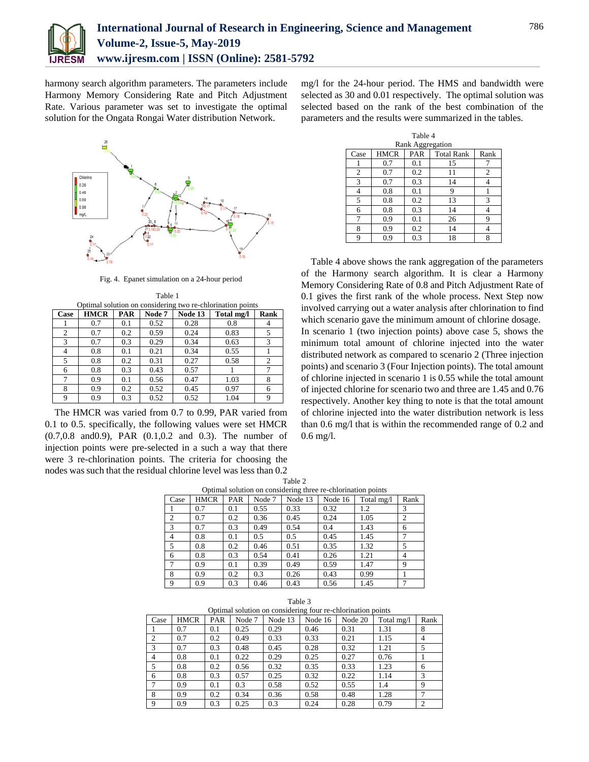

harmony search algorithm parameters. The parameters include Harmony Memory Considering Rate and Pitch Adjustment Rate. Various parameter was set to investigate the optimal solution for the Ongata Rongai Water distribution Network.



Fig. 4. Epanet simulation on a 24-hour period

| Table 1                                                    |  |
|------------------------------------------------------------|--|
| Optimal solution on considering two re-chlorination points |  |

| Case | <b>HMCR</b> | <b>PAR</b> | Node 7 | Node 13 | Total mg/l | Rank           |
|------|-------------|------------|--------|---------|------------|----------------|
|      | 0.7         | 0.1        | 0.52   | 0.28    | 0.8        | 4              |
| 2    | 0.7         | 0.2        | 0.59   | 0.24    | 0.83       | 5              |
| 3    | 0.7         | 0.3        | 0.29   | 0.34    | 0.63       | 3              |
| 4    | 0.8         | 0.1        | 0.21   | 0.34    | 0.55       |                |
| 5    | 0.8         | 0.2        | 0.31   | 0.27    | 0.58       | $\overline{2}$ |
| 6    | 0.8         | 0.3        | 0.43   | 0.57    |            | 7              |
| 7    | 0.9         | 0.1        | 0.56   | 0.47    | 1.03       | 8              |
| 8    | 0.9         | 0.2        | 0.52   | 0.45    | 0.97       | 6              |
| 9    | 0.9         | 0.3        | 0.52   | 0.52    | 1.04       | 9              |

The HMCR was varied from 0.7 to 0.99, PAR varied from 0.1 to 0.5. specifically, the following values were set HMCR (0.7,0.8 and0.9), PAR (0.1,0.2 and 0.3). The number of injection points were pre-selected in a such a way that there were 3 re-chlorination points. The criteria for choosing the nodes was such that the residual chlorine level was less than 0.2

mg/l for the 24-hour period. The HMS and bandwidth were selected as 30 and 0.01 respectively. The optimal solution was selected based on the rank of the best combination of the parameters and the results were summarized in the tables.

| Table 4          |             |     |                   |      |  |  |  |
|------------------|-------------|-----|-------------------|------|--|--|--|
| Rank Aggregation |             |     |                   |      |  |  |  |
| Case             | <b>HMCR</b> | PAR | <b>Total Rank</b> | Rank |  |  |  |
|                  | 0.7         | 0.1 | 15                |      |  |  |  |
| $\overline{2}$   | 0.7         | 0.2 | 11                | 2    |  |  |  |
| 3                | 0.7         | 0.3 | 14                |      |  |  |  |
| 4                | 0.8         | 0.1 | 9                 |      |  |  |  |
| 5                | 0.8         | 0.2 | 13                | 3    |  |  |  |
| 6                | 0.8         | 0.3 | 14                | 4    |  |  |  |
| 7                | 0.9         | 0.1 | 26                | 9    |  |  |  |
| 8                | 0.9         | 0.2 | 14                |      |  |  |  |
| 9                | 0.9         | 0.3 | 18                | 8    |  |  |  |

Table 4 above shows the rank aggregation of the parameters of the Harmony search algorithm. It is clear a Harmony Memory Considering Rate of 0.8 and Pitch Adjustment Rate of 0.1 gives the first rank of the whole process. Next Step now involved carrying out a water analysis after chlorination to find which scenario gave the minimum amount of chlorine dosage. In scenario 1 (two injection points) above case 5, shows the minimum total amount of chlorine injected into the water distributed network as compared to scenario 2 (Three injection points) and scenario 3 (Four Injection points). The total amount of chlorine injected in scenario 1 is 0.55 while the total amount of injected chlorine for scenario two and three are 1.45 and 0.76 respectively. Another key thing to note is that the total amount of chlorine injected into the water distribution network is less than 0.6 mg/l that is within the recommended range of 0.2 and 0.6 mg/l.

|                                                              |             |     |        | $10010 -$ |         |            |                |  |
|--------------------------------------------------------------|-------------|-----|--------|-----------|---------|------------|----------------|--|
| Optimal solution on considering three re-chlorination points |             |     |        |           |         |            |                |  |
| Case                                                         | <b>HMCR</b> | PAR | Node 7 | Node 13   | Node 16 | Total mg/l | Rank           |  |
|                                                              | 0.7         | 0.1 | 0.55   | 0.33      | 0.32    | 1.2        | 3              |  |
| $\overline{2}$                                               | 0.7         | 0.2 | 0.36   | 0.45      | 0.24    | 1.05       | $\overline{2}$ |  |
| 3                                                            | 0.7         | 0.3 | 0.49   | 0.54      | 0.4     | 1.43       | 6              |  |
| 4                                                            | 0.8         | 0.1 | 0.5    | 0.5       | 0.45    | 1.45       |                |  |
| 5                                                            | 0.8         | 0.2 | 0.46   | 0.51      | 0.35    | 1.32       | 5              |  |
| 6                                                            | 0.8         | 0.3 | 0.54   | 0.41      | 0.26    | 1.21       | 4              |  |
|                                                              | 0.9         | 0.1 | 0.39   | 0.49      | 0.59    | 1.47       | 9              |  |
| 8                                                            | 0.9         | 0.2 | 0.3    | 0.26      | 0.43    | 0.99       |                |  |
| 9                                                            | 0.9         | 0.3 | 0.46   | 0.43      | 0.56    | 1.45       |                |  |

| Table 3                                                     |             |            |        |         |         |         |            |                |
|-------------------------------------------------------------|-------------|------------|--------|---------|---------|---------|------------|----------------|
| Optimal solution on considering four re-chlorination points |             |            |        |         |         |         |            |                |
| Case                                                        | <b>HMCR</b> | <b>PAR</b> | Node 7 | Node 13 | Node 16 | Node 20 | Total mg/l | Rank           |
|                                                             | 0.7         | 0.1        | 0.25   | 0.29    | 0.46    | 0.31    | 1.31       | 8              |
| 2                                                           | 0.7         | 0.2        | 0.49   | 0.33    | 0.33    | 0.21    | 1.15       | 4              |
| 3                                                           | 0.7         | 0.3        | 0.48   | 0.45    | 0.28    | 0.32    | 1.21       | 5              |
| 4                                                           | 0.8         | 0.1        | 0.22   | 0.29    | 0.25    | 0.27    | 0.76       |                |
| -5                                                          | 0.8         | 0.2        | 0.56   | 0.32    | 0.35    | 0.33    | 1.23       | 6              |
| -6                                                          | 0.8         | 0.3        | 0.57   | 0.25    | 0.32    | 0.22    | 1.14       | 3              |
|                                                             | 0.9         | 0.1        | 0.3    | 0.58    | 0.52    | 0.55    | 1.4        | 9              |
| 8                                                           | 0.9         | 0.2        | 0.34   | 0.36    | 0.58    | 0.48    | 1.28       |                |
| 9                                                           | 0.9         | 0.3        | 0.25   | 0.3     | 0.24    | 0.28    | 0.79       | $\overline{c}$ |